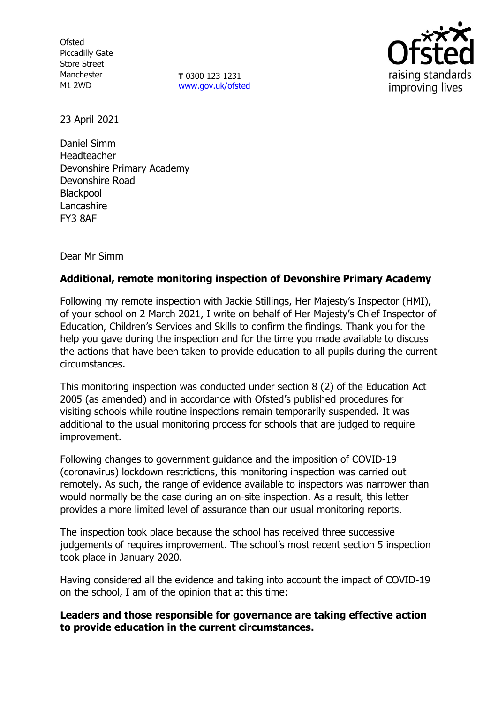**Ofsted** Piccadilly Gate Store Street Manchester M1 2WD

**T** 0300 123 1231 [www.gov.uk/ofsted](http://www.gov.uk/ofsted)



23 April 2021

Daniel Simm Headteacher Devonshire Primary Academy Devonshire Road Blackpool **Lancashire** FY3 8AF

Dear Mr Simm

# **Additional, remote monitoring inspection of Devonshire Primary Academy**

Following my remote inspection with Jackie Stillings, Her Majesty's Inspector (HMI), of your school on 2 March 2021, I write on behalf of Her Majesty's Chief Inspector of Education, Children's Services and Skills to confirm the findings. Thank you for the help you gave during the inspection and for the time you made available to discuss the actions that have been taken to provide education to all pupils during the current circumstances.

This monitoring inspection was conducted under section 8 (2) of the Education Act 2005 (as amended) and in accordance with Ofsted's published procedures for visiting schools while routine inspections remain temporarily suspended. It was additional to the usual monitoring process for schools that are judged to require improvement.

Following changes to government guidance and the imposition of COVID-19 (coronavirus) lockdown restrictions, this monitoring inspection was carried out remotely. As such, the range of evidence available to inspectors was narrower than would normally be the case during an on-site inspection. As a result, this letter provides a more limited level of assurance than our usual monitoring reports.

The inspection took place because the school has received three successive judgements of requires improvement. The school's most recent section 5 inspection took place in January 2020.

Having considered all the evidence and taking into account the impact of COVID-19 on the school, I am of the opinion that at this time:

## **Leaders and those responsible for governance are taking effective action to provide education in the current circumstances.**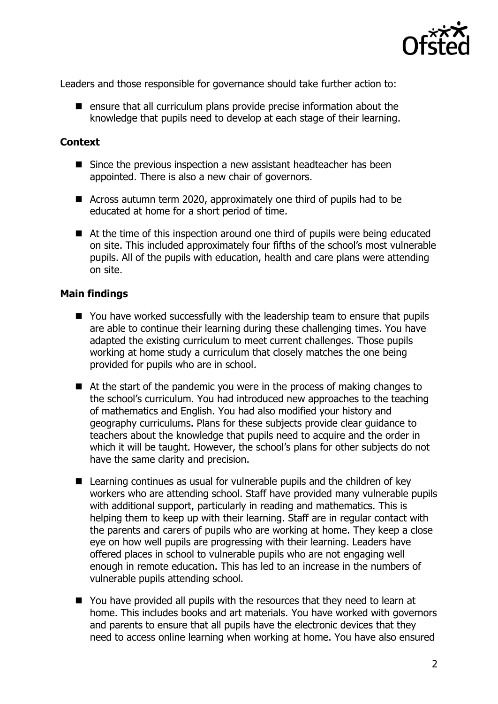

Leaders and those responsible for governance should take further action to:

 $\blacksquare$  ensure that all curriculum plans provide precise information about the knowledge that pupils need to develop at each stage of their learning.

#### **Context**

- Since the previous inspection a new assistant headteacher has been appointed. There is also a new chair of governors.
- Across autumn term 2020, approximately one third of pupils had to be educated at home for a short period of time.
- At the time of this inspection around one third of pupils were being educated on site. This included approximately four fifths of the school's most vulnerable pupils. All of the pupils with education, health and care plans were attending on site.

### **Main findings**

- You have worked successfully with the leadership team to ensure that pupils are able to continue their learning during these challenging times. You have adapted the existing curriculum to meet current challenges. Those pupils working at home study a curriculum that closely matches the one being provided for pupils who are in school.
- At the start of the pandemic you were in the process of making changes to the school's curriculum. You had introduced new approaches to the teaching of mathematics and English. You had also modified your history and geography curriculums. Plans for these subjects provide clear guidance to teachers about the knowledge that pupils need to acquire and the order in which it will be taught. However, the school's plans for other subjects do not have the same clarity and precision.
- Learning continues as usual for vulnerable pupils and the children of key workers who are attending school. Staff have provided many vulnerable pupils with additional support, particularly in reading and mathematics. This is helping them to keep up with their learning. Staff are in regular contact with the parents and carers of pupils who are working at home. They keep a close eye on how well pupils are progressing with their learning. Leaders have offered places in school to vulnerable pupils who are not engaging well enough in remote education. This has led to an increase in the numbers of vulnerable pupils attending school.
- You have provided all pupils with the resources that they need to learn at home. This includes books and art materials. You have worked with governors and parents to ensure that all pupils have the electronic devices that they need to access online learning when working at home. You have also ensured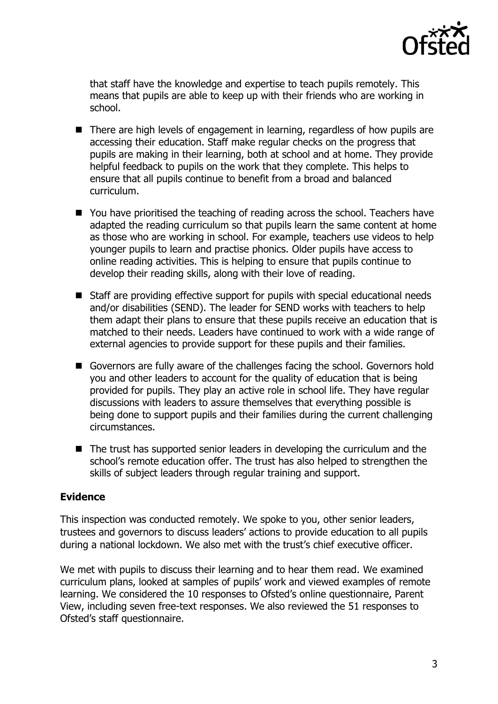

that staff have the knowledge and expertise to teach pupils remotely. This means that pupils are able to keep up with their friends who are working in school.

- There are high levels of engagement in learning, regardless of how pupils are accessing their education. Staff make regular checks on the progress that pupils are making in their learning, both at school and at home. They provide helpful feedback to pupils on the work that they complete. This helps to ensure that all pupils continue to benefit from a broad and balanced curriculum.
- You have prioritised the teaching of reading across the school. Teachers have adapted the reading curriculum so that pupils learn the same content at home as those who are working in school. For example, teachers use videos to help younger pupils to learn and practise phonics. Older pupils have access to online reading activities. This is helping to ensure that pupils continue to develop their reading skills, along with their love of reading.
- Staff are providing effective support for pupils with special educational needs and/or disabilities (SEND). The leader for SEND works with teachers to help them adapt their plans to ensure that these pupils receive an education that is matched to their needs. Leaders have continued to work with a wide range of external agencies to provide support for these pupils and their families.
- Governors are fully aware of the challenges facing the school. Governors hold you and other leaders to account for the quality of education that is being provided for pupils. They play an active role in school life. They have regular discussions with leaders to assure themselves that everything possible is being done to support pupils and their families during the current challenging circumstances.
- The trust has supported senior leaders in developing the curriculum and the school's remote education offer. The trust has also helped to strengthen the skills of subject leaders through regular training and support.

## **Evidence**

This inspection was conducted remotely. We spoke to you, other senior leaders, trustees and governors to discuss leaders' actions to provide education to all pupils during a national lockdown. We also met with the trust's chief executive officer.

We met with pupils to discuss their learning and to hear them read. We examined curriculum plans, looked at samples of pupils' work and viewed examples of remote learning. We considered the 10 responses to Ofsted's online questionnaire, Parent View, including seven free-text responses. We also reviewed the 51 responses to Ofsted's staff questionnaire.